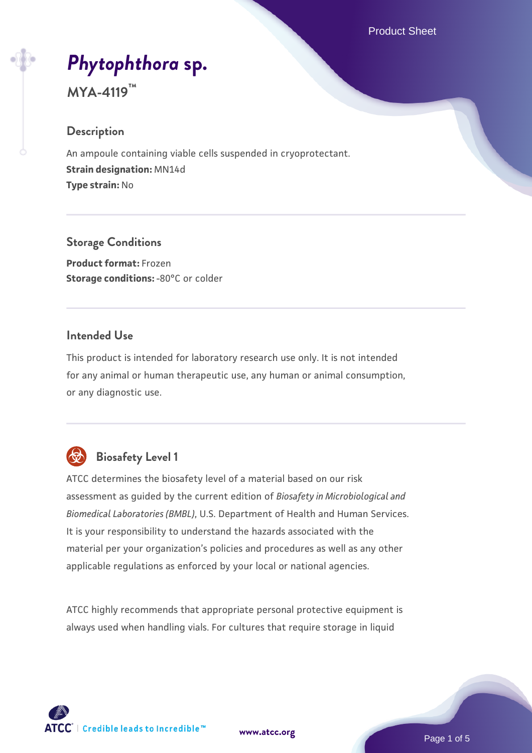# *[Phytophthora](https://www.atcc.org/products/mya-4119)* **[sp.](https://www.atcc.org/products/mya-4119)**

# **MYA-4119™**

#### **Description**

An ampoule containing viable cells suspended in cryoprotectant. **Strain designation:** MN14d **Type strain:** No

#### **Storage Conditions**

**Product format:** Frozen **Storage conditions: -80°C or colder** 

#### **Intended Use**

This product is intended for laboratory research use only. It is not intended for any animal or human therapeutic use, any human or animal consumption, or any diagnostic use.



## **Biosafety Level 1**

ATCC determines the biosafety level of a material based on our risk assessment as guided by the current edition of *Biosafety in Microbiological and Biomedical Laboratories (BMBL)*, U.S. Department of Health and Human Services. It is your responsibility to understand the hazards associated with the material per your organization's policies and procedures as well as any other applicable regulations as enforced by your local or national agencies.

ATCC highly recommends that appropriate personal protective equipment is always used when handling vials. For cultures that require storage in liquid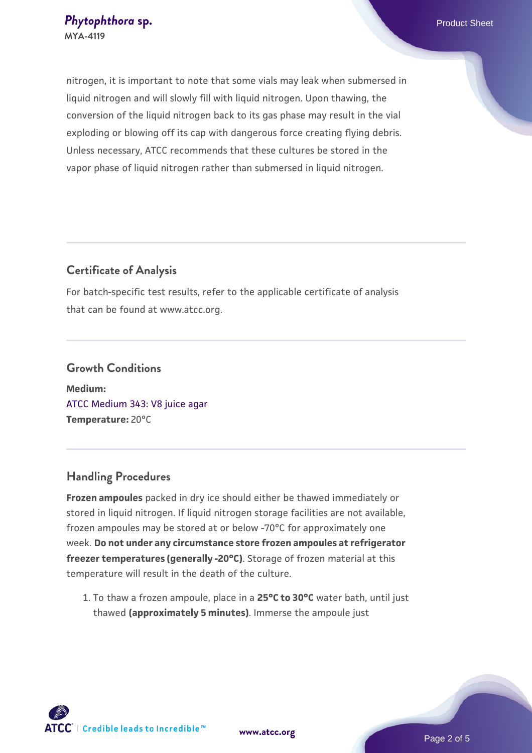nitrogen, it is important to note that some vials may leak when submersed in liquid nitrogen and will slowly fill with liquid nitrogen. Upon thawing, the conversion of the liquid nitrogen back to its gas phase may result in the vial exploding or blowing off its cap with dangerous force creating flying debris. Unless necessary, ATCC recommends that these cultures be stored in the vapor phase of liquid nitrogen rather than submersed in liquid nitrogen.

#### **Certificate of Analysis**

For batch-specific test results, refer to the applicable certificate of analysis that can be found at www.atcc.org.

### **Growth Conditions Medium:**  [ATCC Medium 343: V8 juice agar](https://www.atcc.org/-/media/product-assets/documents/microbial-media-formulations/3/4/3/atcc-medium-0343.pdf?rev=fbf48fa24e664932828269db1822ab12)

**Temperature:** 20°C

#### **Handling Procedures**

**Frozen ampoules** packed in dry ice should either be thawed immediately or stored in liquid nitrogen. If liquid nitrogen storage facilities are not available, frozen ampoules may be stored at or below -70°C for approximately one week. **Do not under any circumstance store frozen ampoules at refrigerator freezer temperatures (generally -20°C)**. Storage of frozen material at this temperature will result in the death of the culture.

1. To thaw a frozen ampoule, place in a **25°C to 30°C** water bath, until just thawed **(approximately 5 minutes)**. Immerse the ampoule just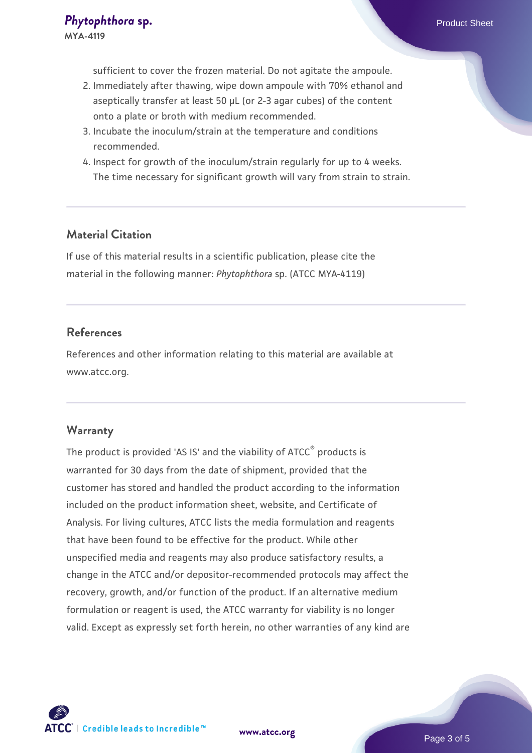sufficient to cover the frozen material. Do not agitate the ampoule.

- 2. Immediately after thawing, wipe down ampoule with 70% ethanol and aseptically transfer at least 50 µL (or 2-3 agar cubes) of the content onto a plate or broth with medium recommended.
- 3. Incubate the inoculum/strain at the temperature and conditions recommended.
- 4. Inspect for growth of the inoculum/strain regularly for up to 4 weeks. The time necessary for significant growth will vary from strain to strain.

#### **Material Citation**

If use of this material results in a scientific publication, please cite the material in the following manner: *Phytophthora* sp. (ATCC MYA-4119)

#### **References**

References and other information relating to this material are available at www.atcc.org.

#### **Warranty**

The product is provided 'AS IS' and the viability of ATCC® products is warranted for 30 days from the date of shipment, provided that the customer has stored and handled the product according to the information included on the product information sheet, website, and Certificate of Analysis. For living cultures, ATCC lists the media formulation and reagents that have been found to be effective for the product. While other unspecified media and reagents may also produce satisfactory results, a change in the ATCC and/or depositor-recommended protocols may affect the recovery, growth, and/or function of the product. If an alternative medium formulation or reagent is used, the ATCC warranty for viability is no longer valid. Except as expressly set forth herein, no other warranties of any kind are

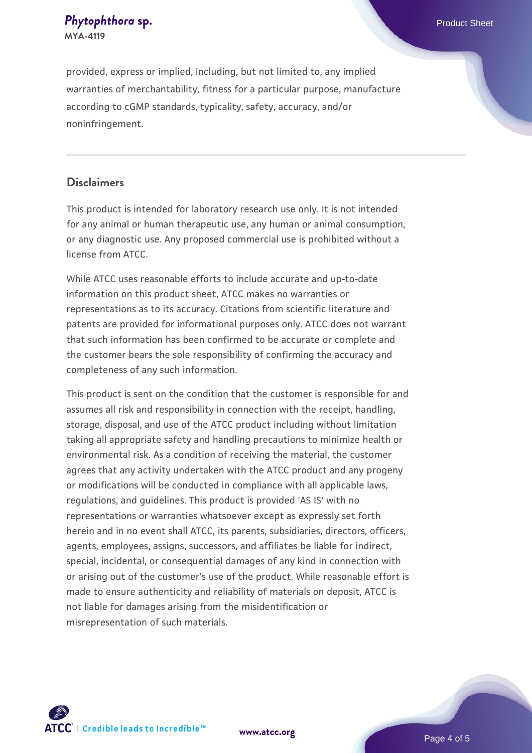#### **[Phytophthora](https://www.atcc.org/products/mya-4119) [sp.](https://www.atcc.org/products/mya-4119) Phytophthorasp. Phytophthora specifically and the expectation of the expectation of**  $\mathbb{R}^n$ **MYA-4119**

provided, express or implied, including, but not limited to, any implied warranties of merchantability, fitness for a particular purpose, manufacture according to cGMP standards, typicality, safety, accuracy, and/or noninfringement.

#### **Disclaimers**

This product is intended for laboratory research use only. It is not intended for any animal or human therapeutic use, any human or animal consumption, or any diagnostic use. Any proposed commercial use is prohibited without a license from ATCC.

While ATCC uses reasonable efforts to include accurate and up-to-date information on this product sheet, ATCC makes no warranties or representations as to its accuracy. Citations from scientific literature and patents are provided for informational purposes only. ATCC does not warrant that such information has been confirmed to be accurate or complete and the customer bears the sole responsibility of confirming the accuracy and completeness of any such information.

This product is sent on the condition that the customer is responsible for and assumes all risk and responsibility in connection with the receipt, handling, storage, disposal, and use of the ATCC product including without limitation taking all appropriate safety and handling precautions to minimize health or environmental risk. As a condition of receiving the material, the customer agrees that any activity undertaken with the ATCC product and any progeny or modifications will be conducted in compliance with all applicable laws, regulations, and guidelines. This product is provided 'AS IS' with no representations or warranties whatsoever except as expressly set forth herein and in no event shall ATCC, its parents, subsidiaries, directors, officers, agents, employees, assigns, successors, and affiliates be liable for indirect, special, incidental, or consequential damages of any kind in connection with or arising out of the customer's use of the product. While reasonable effort is made to ensure authenticity and reliability of materials on deposit, ATCC is not liable for damages arising from the misidentification or misrepresentation of such materials.



**[www.atcc.org](http://www.atcc.org)**

Page 4 of 5